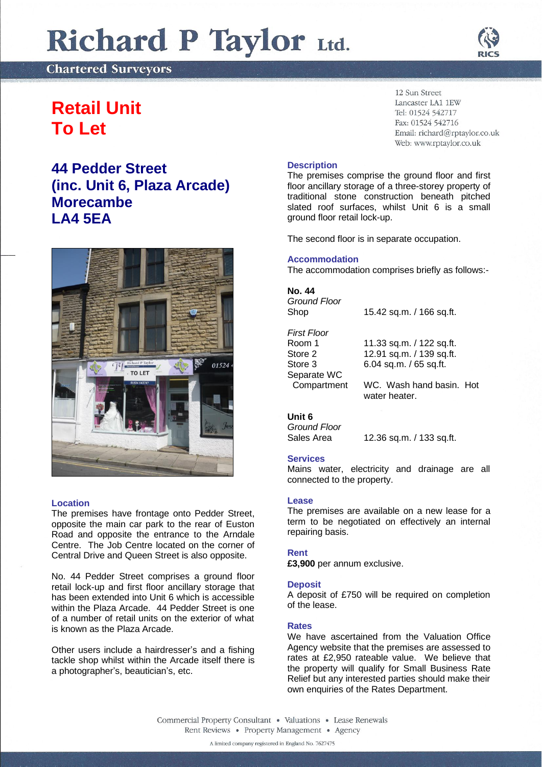# Richard P Taylor Ltd.

**Chartered Surveyors** 

## **Retail Unit To Let**

## **44 Pedder Street (inc. Unit 6, Plaza Arcade) Morecambe LA4 5EA**



#### **Location**

The premises have frontage onto Pedder Street, opposite the main car park to the rear of Euston Road and opposite the entrance to the Arndale Centre. The Job Centre located on the corner of Central Drive and Queen Street is also opposite.

No. 44 Pedder Street comprises a ground floor retail lock-up and first floor ancillary storage that has been extended into Unit 6 which is accessible within the Plaza Arcade. 44 Pedder Street is one of a number of retail units on the exterior of what is known as the Plaza Arcade.

Other users include a hairdresser's and a fishing tackle shop whilst within the Arcade itself there is a photographer's, beautician's, etc.

12 Sun Street Lancaster LA1 1EW Tel: 01524 542717 Fax: 01524 542716 Email: richard@rptaylor.co.uk Web: www.rptaylor.co.uk

#### **Description**

The premises comprise the ground floor and first floor ancillary storage of a three-storey property of traditional stone construction beneath pitched slated roof surfaces, whilst Unit 6 is a small ground floor retail lock-up.

The second floor is in separate occupation.

#### **Accommodation**

The accommodation comprises briefly as follows:-

#### **No. 44**

*Ground Floor* Shop 15.42 sq.m. / 166 sq.ft.

#### *First Floor*

Separate WC

Room 1 11.33 sq.m. / 122 sq.ft.<br>Store 2 12.91 sq.m. / 139 sq.ft. Store 2 12.91 sq.m. / 139 sq.ft.<br>Store 3 6.04 sq.m. / 65 sq.ft. 6.04 sq.m. / 65 sq.ft.

Compartment WC. Wash hand basin. Hot

water heater

### **Unit 6**

*Ground Floor*

Sales Area 12.36 sq.m. / 133 sq.ft.

#### **Services**

Mains water, electricity and drainage are all connected to the property.

#### **Lease**

The premises are available on a new lease for a term to be negotiated on effectively an internal repairing basis.

#### **Rent**

**£3,900** per annum exclusive.

#### **Deposit**

A deposit of £750 will be required on completion of the lease.

#### **Rates**

We have ascertained from the Valuation Office Agency website that the premises are assessed to rates at £2,950 rateable value. We believe that the property will qualify for Small Business Rate Relief but any interested parties should make their own enquiries of the Rates Department.

Commercial Property Consultant . Valuations . Lease Renewals Rent Reviews • Property Management • Agency